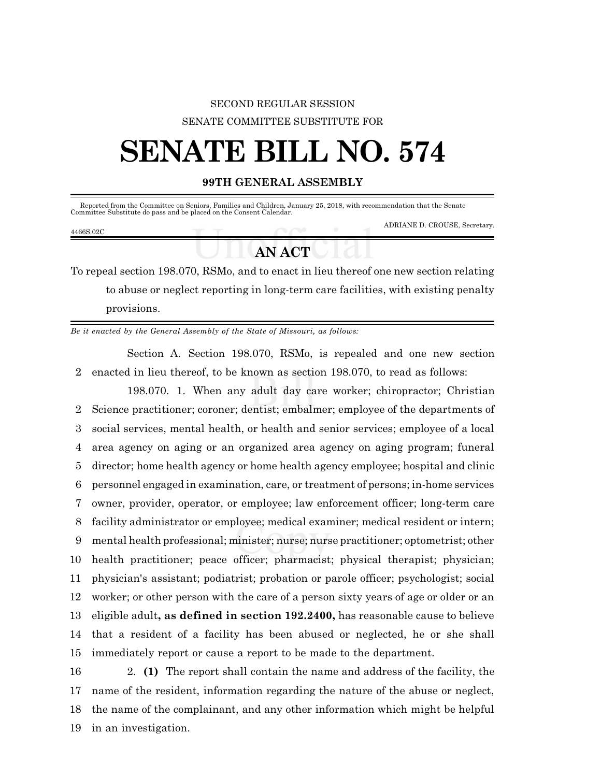## SECOND REGULAR SESSION SENATE COMMITTEE SUBSTITUTE FOR

## **SENATE BILL NO. 574**

## **99TH GENERAL ASSEMBLY**

|           |  | Reported from the Committee on Seniors, Families and Children, January 25, 2018, with recommendation that the Senate<br>Committee Substitute do pass and be placed on the Consent Calendar. |
|-----------|--|---------------------------------------------------------------------------------------------------------------------------------------------------------------------------------------------|
| 4466S.02C |  | ADRIANE D. CROUSE, Secretary.                                                                                                                                                               |
|           |  |                                                                                                                                                                                             |

## **ANACT**

To repeal section 198.070, RSMo, and to enact in lieu thereof one new section relating to abuse or neglect reporting in long-term care facilities, with existing penalty provisions.

*Be it enacted by the General Assembly of the State of Missouri, as follows:*

Section A. Section 198.070, RSMo, is repealed and one new section 2 enacted in lieu thereof, to be known as section 198.070, to read as follows:

198.070. 1. When any adult day care worker; chiropractor; Christian Science practitioner; coroner; dentist; embalmer; employee of the departments of social services, mental health, or health and senior services; employee of a local area agency on aging or an organized area agency on aging program; funeral director; home health agency or home health agency employee; hospital and clinic personnel engaged in examination, care, or treatment of persons; in-home services owner, provider, operator, or employee; law enforcement officer; long-term care facility administrator or employee; medical examiner; medical resident or intern; mental health professional; minister; nurse; nurse practitioner; optometrist; other health practitioner; peace officer; pharmacist; physical therapist; physician; physician's assistant; podiatrist; probation or parole officer; psychologist; social worker; or other person with the care of a person sixty years of age or older or an eligible adult**, as defined in section 192.2400,** has reasonable cause to believe that a resident of a facility has been abused or neglected, he or she shall immediately report or cause a report to be made to the department.

 2. **(1)** The report shall contain the name and address of the facility, the name of the resident, information regarding the nature of the abuse or neglect, the name of the complainant, and any other information which might be helpful in an investigation.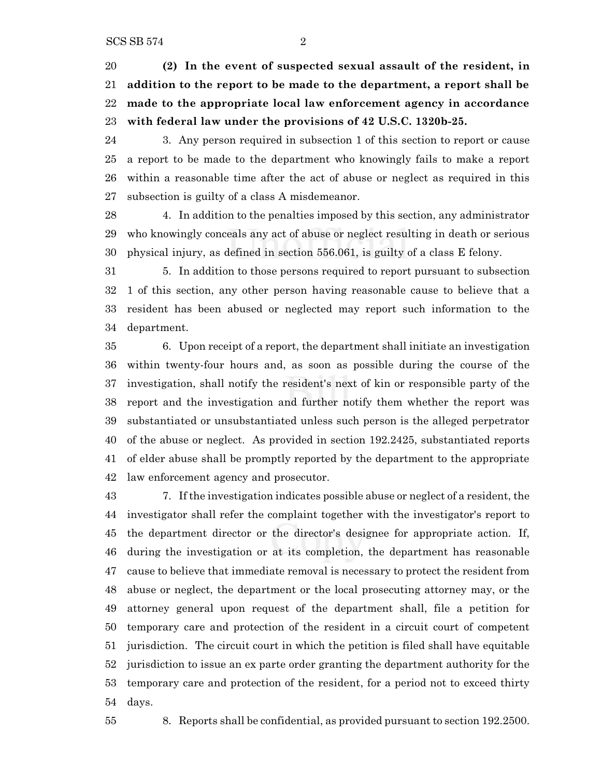**(2) In the event of suspected sexual assault of the resident, in addition to the report to be made to the department, a report shall be made to the appropriate local law enforcement agency in accordance with federal law under the provisions of 42 U.S.C. 1320b-25.**

 3. Any person required in subsection 1 of this section to report or cause a report to be made to the department who knowingly fails to make a report within a reasonable time after the act of abuse or neglect as required in this subsection is guilty of a class A misdemeanor.

 4. In addition to the penalties imposed by this section, any administrator who knowingly conceals any act of abuse or neglect resulting in death or serious physical injury, as defined in section 556.061, is guilty of a class E felony.

 5. In addition to those persons required to report pursuant to subsection 1 of this section, any other person having reasonable cause to believe that a resident has been abused or neglected may report such information to the department.

 6. Upon receipt of a report, the department shall initiate an investigation within twenty-four hours and, as soon as possible during the course of the investigation, shall notify the resident's next of kin or responsible party of the report and the investigation and further notify them whether the report was substantiated or unsubstantiated unless such person is the alleged perpetrator of the abuse or neglect. As provided in section 192.2425, substantiated reports of elder abuse shall be promptly reported by the department to the appropriate law enforcement agency and prosecutor.

 7. If the investigation indicates possible abuse or neglect of a resident, the investigator shall refer the complaint together with the investigator's report to the department director or the director's designee for appropriate action. If, during the investigation or at its completion, the department has reasonable cause to believe that immediate removal is necessary to protect the resident from abuse or neglect, the department or the local prosecuting attorney may, or the attorney general upon request of the department shall, file a petition for temporary care and protection of the resident in a circuit court of competent jurisdiction. The circuit court in which the petition is filed shall have equitable jurisdiction to issue an ex parte order granting the department authority for the temporary care and protection of the resident, for a period not to exceed thirty days.

8. Reports shall be confidential, as provided pursuant to section 192.2500.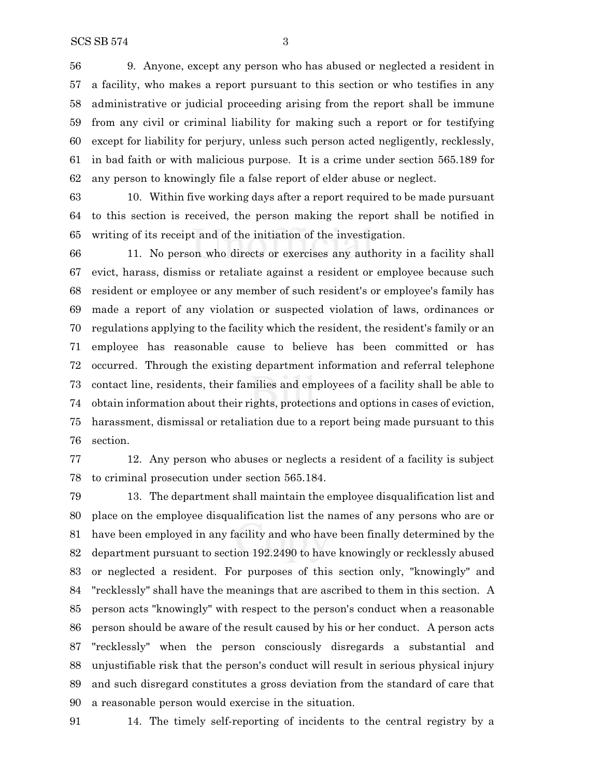9. Anyone, except any person who has abused or neglected a resident in a facility, who makes a report pursuant to this section or who testifies in any administrative or judicial proceeding arising from the report shall be immune from any civil or criminal liability for making such a report or for testifying except for liability for perjury, unless such person acted negligently, recklessly, in bad faith or with malicious purpose. It is a crime under section 565.189 for any person to knowingly file a false report of elder abuse or neglect.

 10. Within five working days after a report required to be made pursuant to this section is received, the person making the report shall be notified in writing of its receipt and of the initiation of the investigation.

 11. No person who directs or exercises any authority in a facility shall evict, harass, dismiss or retaliate against a resident or employee because such resident or employee or any member of such resident's or employee's family has made a report of any violation or suspected violation of laws, ordinances or regulations applying to the facility which the resident, the resident's family or an employee has reasonable cause to believe has been committed or has occurred. Through the existing department information and referral telephone contact line, residents, their families and employees of a facility shall be able to obtain information about their rights, protections and options in cases of eviction, harassment, dismissal or retaliation due to a report being made pursuant to this section.

 12. Any person who abuses or neglects a resident of a facility is subject to criminal prosecution under section 565.184.

 13. The department shall maintain the employee disqualification list and place on the employee disqualification list the names of any persons who are or have been employed in any facility and who have been finally determined by the department pursuant to section 192.2490 to have knowingly or recklessly abused or neglected a resident. For purposes of this section only, "knowingly" and "recklessly" shall have the meanings that are ascribed to them in this section. A person acts "knowingly" with respect to the person's conduct when a reasonable person should be aware of the result caused by his or her conduct. A person acts "recklessly" when the person consciously disregards a substantial and unjustifiable risk that the person's conduct will result in serious physical injury and such disregard constitutes a gross deviation from the standard of care that a reasonable person would exercise in the situation.

14. The timely self-reporting of incidents to the central registry by a